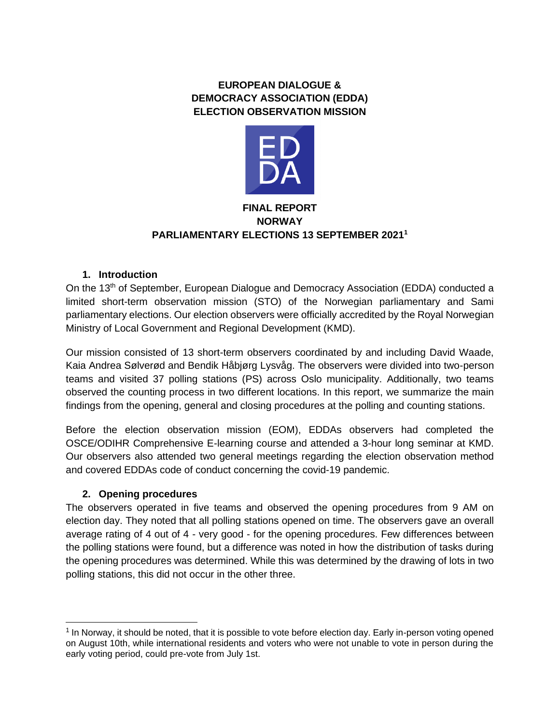# **EUROPEAN DIALOGUE & DEMOCRACY ASSOCIATION (EDDA) ELECTION OBSERVATION MISSION**



## **FINAL REPORT NORWAY PARLIAMENTARY ELECTIONS 13 SEPTEMBER 2021<sup>1</sup>**

## **1. Introduction**

On the 13th of September, European Dialogue and Democracy Association (EDDA) conducted a limited short-term observation mission (STO) of the Norwegian parliamentary and Sami parliamentary elections. Our election observers were officially accredited by the Royal Norwegian Ministry of Local Government and Regional Development (KMD).

Our mission consisted of 13 short-term observers coordinated by and including David Waade, Kaia Andrea Sølverød and Bendik Håbjørg Lysvåg. The observers were divided into two-person teams and visited 37 polling stations (PS) across Oslo municipality. Additionally, two teams observed the counting process in two different locations. In this report, we summarize the main findings from the opening, general and closing procedures at the polling and counting stations.

Before the election observation mission (EOM), EDDAs observers had completed the OSCE/ODIHR Comprehensive E-learning course and attended a 3-hour long seminar at KMD. Our observers also attended two general meetings regarding the election observation method and covered EDDAs code of conduct concerning the covid-19 pandemic.

### **2. Opening procedures**

The observers operated in five teams and observed the opening procedures from 9 AM on election day. They noted that all polling stations opened on time. The observers gave an overall average rating of 4 out of 4 - very good - for the opening procedures. Few differences between the polling stations were found, but a difference was noted in how the distribution of tasks during the opening procedures was determined. While this was determined by the drawing of lots in two polling stations, this did not occur in the other three.

 $1$  In Norway, it should be noted, that it is possible to vote before election day. Early in-person voting opened on August 10th, while international residents and voters who were not unable to vote in person during the early voting period, could pre-vote from July 1st.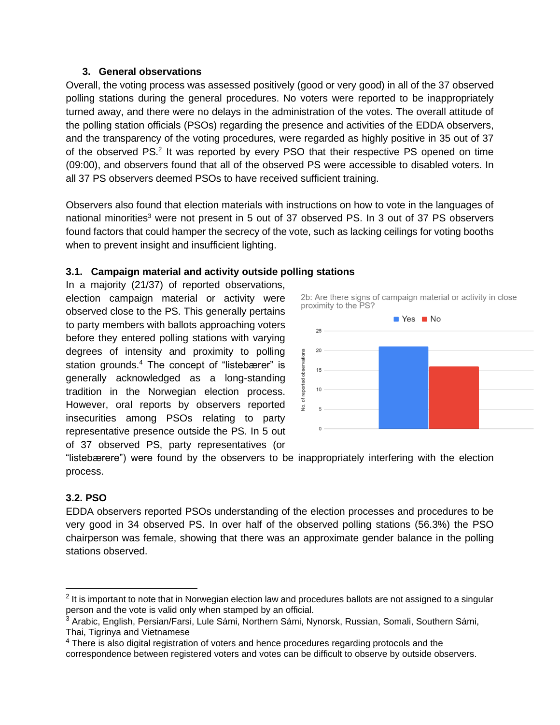## **3. General observations**

Overall, the voting process was assessed positively (good or very good) in all of the 37 observed polling stations during the general procedures. No voters were reported to be inappropriately turned away, and there were no delays in the administration of the votes. The overall attitude of the polling station officials (PSOs) regarding the presence and activities of the EDDA observers, and the transparency of the voting procedures, were regarded as highly positive in 35 out of 37 of the observed PS.<sup>2</sup> It was reported by every PSO that their respective PS opened on time (09:00), and observers found that all of the observed PS were accessible to disabled voters. In all 37 PS observers deemed PSOs to have received sufficient training.

Observers also found that election materials with instructions on how to vote in the languages of national minorities<sup>3</sup> were not present in 5 out of 37 observed PS. In 3 out of 37 PS observers found factors that could hamper the secrecy of the vote, such as lacking ceilings for voting booths when to prevent insight and insufficient lighting.

# **3.1. Campaign material and activity outside polling stations**

In a majority (21/37) of reported observations, election campaign material or activity were observed close to the PS. This generally pertains to party members with ballots approaching voters before they entered polling stations with varying degrees of intensity and proximity to polling station grounds.<sup>4</sup> The concept of "listebærer" is generally acknowledged as a long-standing tradition in the Norwegian election process. However, oral reports by observers reported insecurities among PSOs relating to party representative presence outside the PS. In 5 out of 37 observed PS, party representatives (or





"listebærere") were found by the observers to be inappropriately interfering with the election process.

## **3.2. PSO**

EDDA observers reported PSOs understanding of the election processes and procedures to be very good in 34 observed PS. In over half of the observed polling stations (56.3%) the PSO chairperson was female, showing that there was an approximate gender balance in the polling stations observed.

 $2$  It is important to note that in Norwegian election law and procedures ballots are not assigned to a singular person and the vote is valid only when stamped by an official.

<sup>&</sup>lt;sup>3</sup> Arabic, English, Persian/Farsi, Lule Sámi, Northern Sámi, Nynorsk, Russian, Somali, Southern Sámi, Thai, Tigrinya and Vietnamese

<sup>&</sup>lt;sup>4</sup> There is also digital registration of voters and hence procedures regarding protocols and the correspondence between registered voters and votes can be difficult to observe by outside observers.